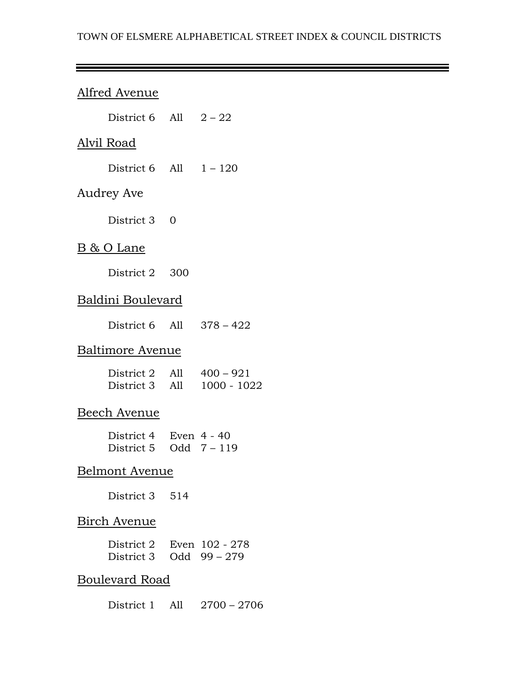#### TOWN OF ELSMERE ALPHABETICAL STREET INDEX & COUNCIL DISTRICTS

# Alfred Avenue

|                | District 6 All $2-22$                            |  |                                |  |
|----------------|--------------------------------------------------|--|--------------------------------|--|
|                | <u>Alvil Road</u>                                |  |                                |  |
|                | District 6 All $1 - 120$                         |  |                                |  |
|                | Audrey Ave                                       |  |                                |  |
|                | District 3 0                                     |  |                                |  |
|                | B & O Lane                                       |  |                                |  |
|                | District 2 300                                   |  |                                |  |
|                | Baldini Boulevard                                |  |                                |  |
|                | District 6 All $378 - 422$                       |  |                                |  |
|                | Baltimore Avenue                                 |  |                                |  |
|                | District 2 All $400 - 921$                       |  | District 3 All 1000 - 1022     |  |
|                | Beech Avenue                                     |  |                                |  |
|                | District 4 Even 4 - 40<br>District 5 Odd $7-119$ |  |                                |  |
| Belmont Avenue |                                                  |  |                                |  |
|                | District 3 514                                   |  |                                |  |
|                | <b>Birch Avenue</b>                              |  |                                |  |
|                | District 2<br>District 3                         |  | Even 102 - 278<br>Odd 99 - 279 |  |

### Boulevard Road

District 1 All 2700 – 2706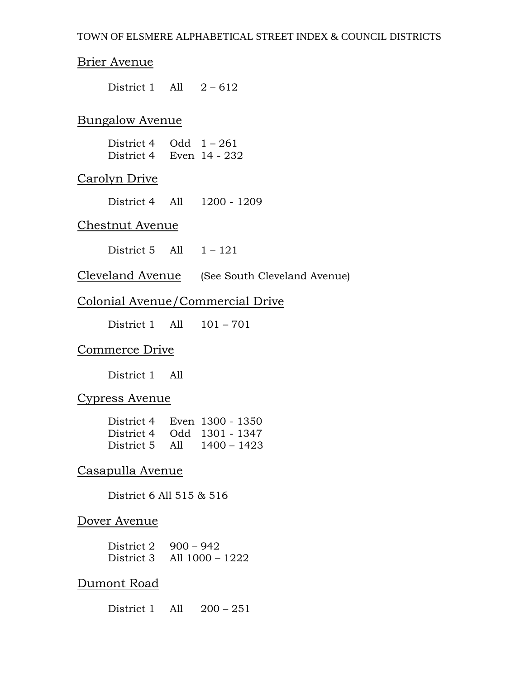### Brier Avenue

District 1 All  $2-612$ 

### Bungalow Avenue

| District 4 | Odd $1 - 261$ |
|------------|---------------|
| District 4 | Even 14 - 232 |

### Carolyn Drive

District 4 All 1200 - 1209

### Chestnut Avenue

District 5 All  $1 - 121$ 

Cleveland Avenue (See South Cleveland Avenue)

#### Colonial Avenue/Commercial Drive

District 1 All 101 – 701

#### Commerce Drive

District 1 All

#### Cypress Avenue

| District 4     | Even 1300 - 1350           |
|----------------|----------------------------|
|                | District 4 Odd 1301 - 1347 |
| District 5 All | 1400 - 1423                |

### Casapulla Avenue

District 6 All 515 & 516

#### Dover Avenue

| District 2 | $900 - 942$                    |
|------------|--------------------------------|
|            | District $3$ All $1000 - 1222$ |

#### Dumont Road

District 1 All 200 – 251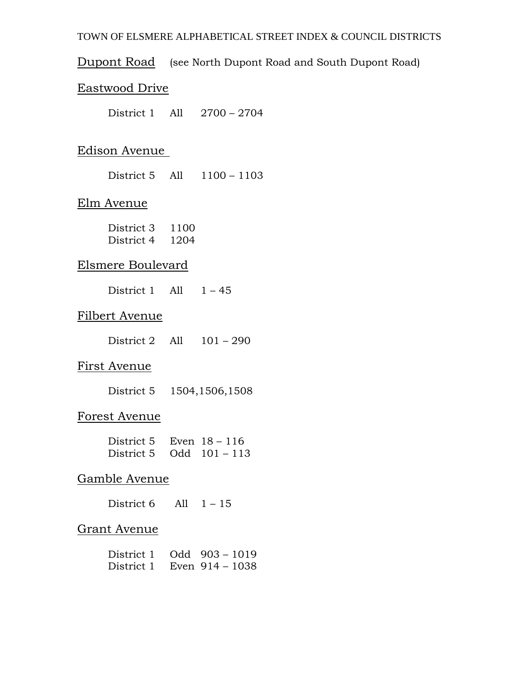#### TOWN OF ELSMERE ALPHABETICAL STREET INDEX & COUNCIL DISTRICTS

Dupont Road (see North Dupont Road and South Dupont Road)

### Eastwood Drive

District 1 All 2700 – 2704

### Edison Avenue

District 5 All 1100 – 1103

#### Elm Avenue

| District 3 | 1100 |
|------------|------|
| District 4 | 1204 |

### Elsmere Boulevard

District 1 All  $1 - 45$ 

### Filbert Avenue

| District 2 | All |  | $101 - 290$ |
|------------|-----|--|-------------|
|------------|-----|--|-------------|

### First Avenue

| District 5 | 1504,1506,1508 |
|------------|----------------|
|------------|----------------|

# Forest Avenue

| District 5                 | Even $18 - 116$ |
|----------------------------|-----------------|
| District 5 $Odd 101 - 113$ |                 |

# Gamble Avenue

District  $6$  All  $1 - 15$ 

#### Grant Avenue

| District 1 | $Odd$ 903 – 1019  |  |
|------------|-------------------|--|
| District 1 | Even $914 - 1038$ |  |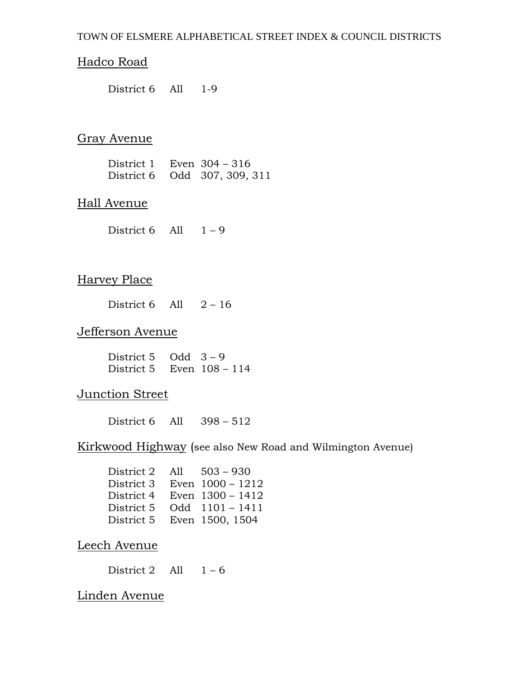### Hadco Road

District 6 All 1-9

### Gray Avenue

| District 1 | Even 304 – 316               |
|------------|------------------------------|
|            | District 6 Odd 307, 309, 311 |

#### Hall Avenue

District 6 All  $1 - 9$ 

### Harvey Place

District  $6$  All  $2 - 16$ 

### Jefferson Avenue

District 5 Odd  $3 - 9$ District 5 Even 108 – 114

### Junction Street

District 6 All 398 – 512

### Kirkwood Highway (see also New Road and Wilmington Avenue)

| District 2 | All | $503 - 930$        |
|------------|-----|--------------------|
| District 3 |     | Even $1000 - 1212$ |
| District 4 |     | Even $1300 - 1412$ |
| District 5 |     | Odd $1101 - 1411$  |
| District 5 |     | Even 1500, 1504    |

### Leech Avenue

District 2 All  $1-6$ 

### Linden Avenue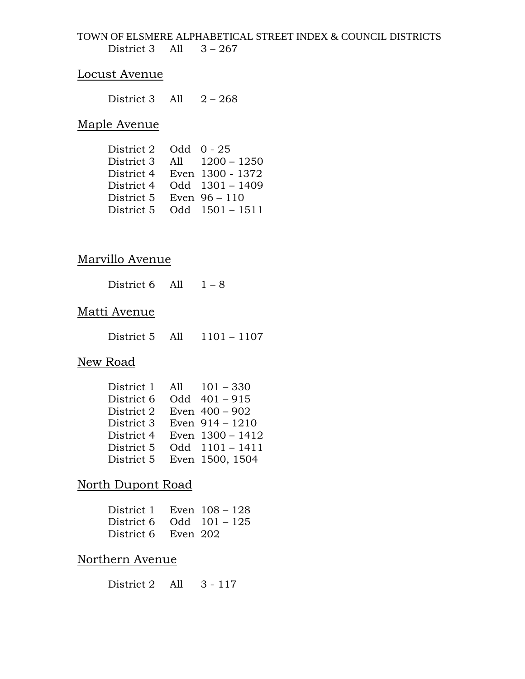TOWN OF ELSMERE ALPHABETICAL STREET INDEX & COUNCIL DISTRICTS District 3 All  $3 - 267$ 

#### Locust Avenue

District 3 All  $2 - 268$ 

### Maple Avenue

| District 2 |     | Odd $0 - 25$      |
|------------|-----|-------------------|
| District 3 | A11 | $1200 - 1250$     |
| District 4 |     | Even 1300 - 1372  |
| District 4 |     | $Odd$ 1301 - 1409 |
| District 5 |     | Even $96 - 110$   |
| District 5 |     | $Odd$ 1501 - 1511 |

### Marvillo Avenue

| District 6 | A11 | $1 - 8$ |
|------------|-----|---------|
|------------|-----|---------|

#### Matti Avenue

District 5 All 1101 – 1107

# New Road

| District 1 | All $101 - 330$   |
|------------|-------------------|
| District 6 | Odd 401-915       |
| District 2 | Even 400 - 902    |
| District 3 | Even $914 - 1210$ |
| District 4 | Even 1300 - 1412  |
| District 5 | Odd 1101-1411     |
| District 5 | Even 1500, 1504   |

### North Dupont Road

| District 1 Even $108 - 128$ |  |
|-----------------------------|--|
| District 6 Odd $101 - 125$  |  |
| District 6 Even 202         |  |

### Northern Avenue

District 2 All 3 - 117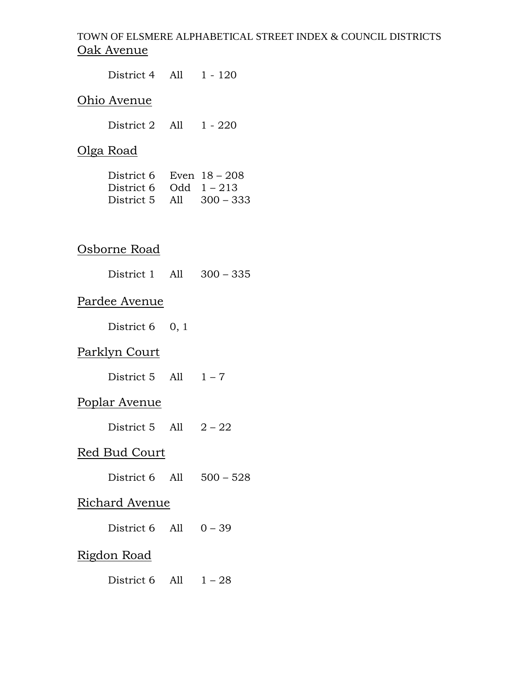# TOWN OF ELSMERE ALPHABETICAL STREET INDEX & COUNCIL DISTRICTS Oak Avenue

| District 4 All 1 - 120     |  |  |  |
|----------------------------|--|--|--|
| Ohio Avenue                |  |  |  |
| District 2 All 1 - 220     |  |  |  |
| <u>Olga Road</u>           |  |  |  |
| District 6 Even $18 - 208$ |  |  |  |
| <u>Osborne Road</u>        |  |  |  |
| District 1 All 300 - 335   |  |  |  |
| Pardee Avenue              |  |  |  |
| District $6 \quad 0, 1$    |  |  |  |
| <u> Parklyn Court</u>      |  |  |  |
| District 5 All $1-7$       |  |  |  |
| <u>Poplar Avenue</u>       |  |  |  |
| District 5 All $2-22$      |  |  |  |
| Red Bud Court              |  |  |  |
| District 6 All 500 - 528   |  |  |  |
| <u>Richard Avenue</u>      |  |  |  |
| District 6 All $0 - 39$    |  |  |  |
| <u>Rigdon Road</u>         |  |  |  |
| District 6 All $1-28$      |  |  |  |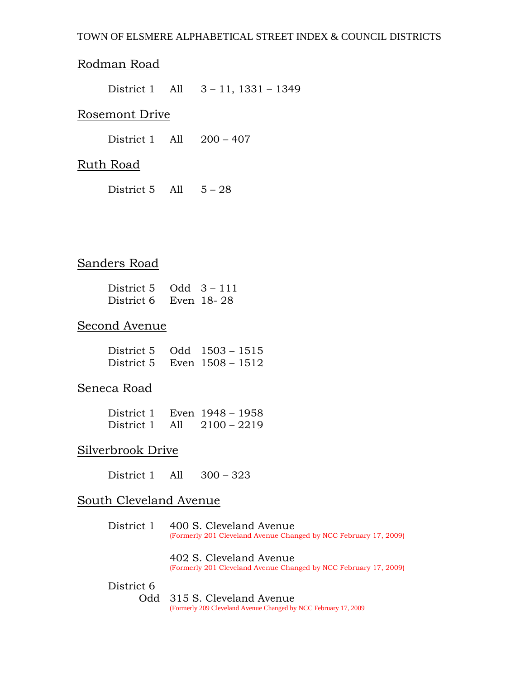## Rodman Road

District 1 All 3 – 11, 1331 – 1349

#### Rosemont Drive

District 1 All 200 – 407

#### Ruth Road

District  $5$  All  $5 - 28$ 

## Sanders Road

| District 5 | $Odd$ 3 – 111 |
|------------|---------------|
| District 6 | Even 18-28    |

#### Second Avenue

| District 5 Odd 1503 – 1515 |                  |  |
|----------------------------|------------------|--|
| District 5                 | Even 1508 – 1512 |  |

#### Seneca Road

| District 1 |     | Even 1948 – 1958 |  |
|------------|-----|------------------|--|
| District 1 | All | $2100 - 2219$    |  |

### Silverbrook Drive

District 1 All 300 – 323

#### South Cleveland Avenue

District 1 400 S. Cleveland Avenue (Formerly 201 Cleveland Avenue Changed by NCC February 17, 2009)

402 S. Cleveland Avenue (Formerly 201 Cleveland Avenue Changed by NCC February 17, 2009)

#### District 6

Odd 315 S. Cleveland Avenue (Formerly 209 Cleveland Avenue Changed by NCC February 17, 2009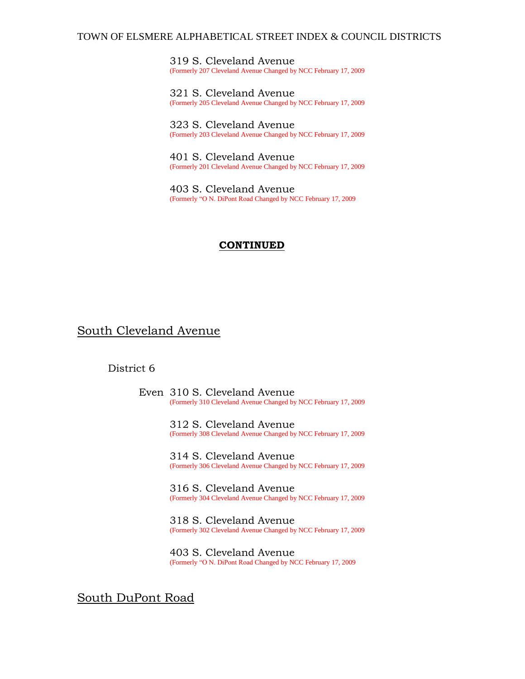#### TOWN OF ELSMERE ALPHABETICAL STREET INDEX & COUNCIL DISTRICTS

319 S. Cleveland Avenue (Formerly 207 Cleveland Avenue Changed by NCC February 17, 2009

321 S. Cleveland Avenue (Formerly 205 Cleveland Avenue Changed by NCC February 17, 2009

323 S. Cleveland Avenue (Formerly 203 Cleveland Avenue Changed by NCC February 17, 2009

401 S. Cleveland Avenue (Formerly 201 Cleveland Avenue Changed by NCC February 17, 2009

403 S. Cleveland Avenue (Formerly "O N. DiPont Road Changed by NCC February 17, 2009

#### **CONTINUED**

#### South Cleveland Avenue

#### District 6

Even 310 S. Cleveland Avenue (Formerly 310 Cleveland Avenue Changed by NCC February 17, 2009

> 312 S. Cleveland Avenue (Formerly 308 Cleveland Avenue Changed by NCC February 17, 2009

> 314 S. Cleveland Avenue (Formerly 306 Cleveland Avenue Changed by NCC February 17, 2009

> 316 S. Cleveland Avenue (Formerly 304 Cleveland Avenue Changed by NCC February 17, 2009

> 318 S. Cleveland Avenue (Formerly 302 Cleveland Avenue Changed by NCC February 17, 2009

403 S. Cleveland Avenue (Formerly "O N. DiPont Road Changed by NCC February 17, 2009

South DuPont Road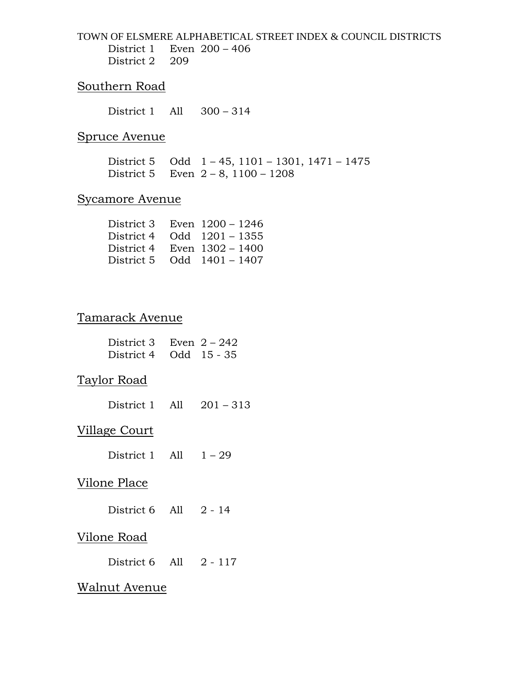TOWN OF ELSMERE ALPHABETICAL STREET INDEX & COUNCIL DISTRICTS District 1 Even 200 – 406 District 2 209

#### Southern Road

District 1 All 300 – 314

#### Spruce Avenue

District 5 Odd 1 – 45, 1101 – 1301, 1471 – 1475 District 5 Even 2 – 8, 1100 – 1208

### Sycamore Avenue

| Even $1200 - 1246$ |
|--------------------|
| $Odd$ 1201 – 1355  |
| Even $1302 - 1400$ |
| Odd $1401 - 1407$  |
|                    |

### Tamarack Avenue

| District 3 Even $2 - 242$<br>District 4 Odd 15 - 35 |  |
|-----------------------------------------------------|--|
| Taylor Road                                         |  |
| District 1 All $201 - 313$                          |  |
| Village Court                                       |  |
| District 1 All $1-29$                               |  |
| Vilone Place                                        |  |
| District $6$ All $2 - 14$                           |  |
| <u>Vilone Road</u>                                  |  |
| District $6$ All $2 - 117$                          |  |
| Walnut Avenue                                       |  |